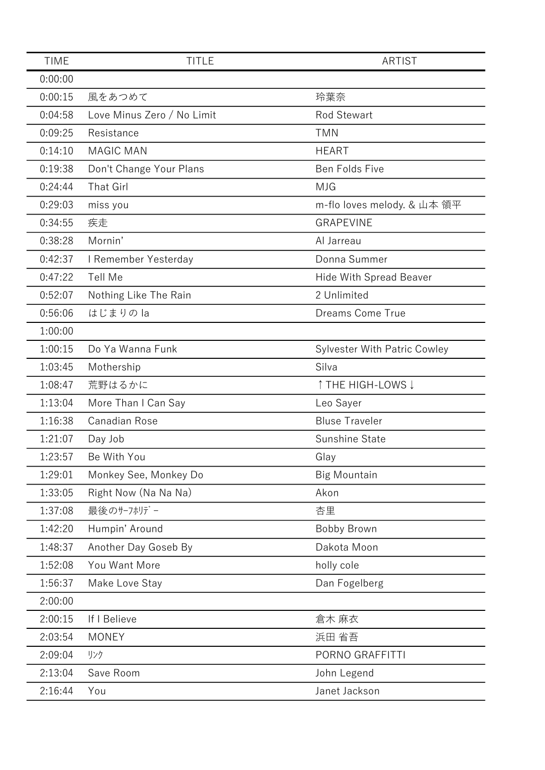| <b>TIME</b> | <b>TITLE</b>               | <b>ARTIST</b>                       |
|-------------|----------------------------|-------------------------------------|
| 0:00:00     |                            |                                     |
| 0:00:15     | 風をあつめて                     | 玲葉奈                                 |
| 0:04:58     | Love Minus Zero / No Limit | <b>Rod Stewart</b>                  |
| 0:09:25     | Resistance                 | <b>TMN</b>                          |
| 0:14:10     | <b>MAGIC MAN</b>           | <b>HEART</b>                        |
| 0:19:38     | Don't Change Your Plans    | Ben Folds Five                      |
| 0:24:44     | <b>That Girl</b>           | <b>MJG</b>                          |
| 0:29:03     | miss you                   | m-flo loves melody. & 山本 領平         |
| 0:34:55     | 疾走                         | <b>GRAPEVINE</b>                    |
| 0:38:28     | Mornin'                    | Al Jarreau                          |
| 0:42:37     | I Remember Yesterday       | Donna Summer                        |
| 0:47:22     | Tell Me                    | <b>Hide With Spread Beaver</b>      |
| 0:52:07     | Nothing Like The Rain      | 2 Unlimited                         |
| 0:56:06     | はじまりの la                   | Dreams Come True                    |
| 1:00:00     |                            |                                     |
| 1:00:15     | Do Ya Wanna Funk           | <b>Sylvester With Patric Cowley</b> |
| 1:03:45     | Mothership                 | Silva                               |
| 1:08:47     | 荒野はるかに                     | ↑ THE HIGH-LOWS ↓                   |
| 1:13:04     | More Than I Can Say        | Leo Sayer                           |
| 1:16:38     | Canadian Rose              | <b>Bluse Traveler</b>               |
| 1:21:07     | Day Job                    | Sunshine State                      |
| 1:23:57     | Be With You                | Glay                                |
| 1:29:01     | Monkey See, Monkey Do      | <b>Big Mountain</b>                 |
| 1:33:05     | Right Now (Na Na Na)       | Akon                                |
| 1:37:08     | 最後のサーフホリデー                 | 杏里                                  |
| 1:42:20     | Humpin' Around             | <b>Bobby Brown</b>                  |
| 1:48:37     | Another Day Goseb By       | Dakota Moon                         |
| 1:52:08     | You Want More              | holly cole                          |
| 1:56:37     | Make Love Stay             | Dan Fogelberg                       |
| 2:00:00     |                            |                                     |
| 2:00:15     | If I Believe               | 倉木 麻衣                               |
| 2:03:54     | <b>MONEY</b>               | 浜田 省吾                               |
| 2:09:04     | リンク                        | PORNO GRAFFITTI                     |
| 2:13:04     | Save Room                  | John Legend                         |
| 2:16:44     | You                        | Janet Jackson                       |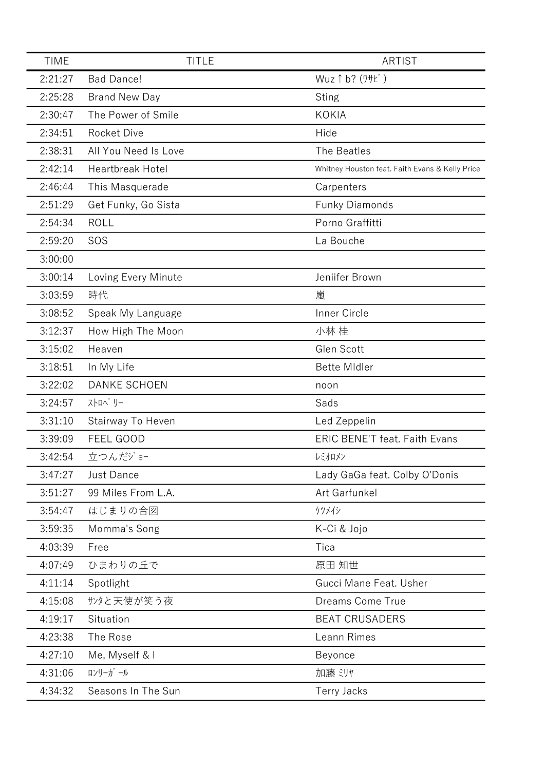| <b>TIME</b> | <b>TITLE</b>            | <b>ARTIST</b>                                   |
|-------------|-------------------------|-------------------------------------------------|
| 2:21:27     | <b>Bad Dance!</b>       | Wuz 1 b? (7+t)                                  |
| 2:25:28     | <b>Brand New Day</b>    | <b>Sting</b>                                    |
| 2:30:47     | The Power of Smile      | <b>KOKIA</b>                                    |
| 2:34:51     | <b>Rocket Dive</b>      | Hide                                            |
| 2:38:31     | All You Need Is Love    | The Beatles                                     |
| 2:42:14     | <b>Heartbreak Hotel</b> | Whitney Houston feat. Faith Evans & Kelly Price |
| 2:46:44     | This Masquerade         | Carpenters                                      |
| 2:51:29     | Get Funky, Go Sista     | <b>Funky Diamonds</b>                           |
| 2:54:34     | <b>ROLL</b>             | Porno Graffitti                                 |
| 2:59:20     | SOS                     | La Bouche                                       |
| 3:00:00     |                         |                                                 |
| 3:00:14     | Loving Every Minute     | Jeniifer Brown                                  |
| 3:03:59     | 時代                      | 嵐                                               |
| 3:08:52     | Speak My Language       | <b>Inner Circle</b>                             |
| 3:12:37     | How High The Moon       | 小林 桂                                            |
| 3:15:02     | Heaven                  | Glen Scott                                      |
| 3:18:51     | In My Life              | <b>Bette Midler</b>                             |
| 3:22:02     | <b>DANKE SCHOEN</b>     | noon                                            |
| 3:24:57     | ストロヘ゛リー                 | Sads                                            |
| 3:31:10     | Stairway To Heven       | Led Zeppelin                                    |
| 3:39:09     | FEEL GOOD               | <b>ERIC BENE'T feat. Faith Evans</b>            |
| 3:42:54     | 立つんだジョー                 | レミオロメン                                          |
| 3:47:27     | <b>Just Dance</b>       | Lady GaGa feat. Colby O'Donis                   |
| 3:51:27     | 99 Miles From L.A.      | Art Garfunkel                                   |
| 3:54:47     | はじまりの合図                 | ケツメイシ                                           |
| 3:59:35     | Momma's Song            | K-Ci & Jojo                                     |
| 4:03:39     | Free                    | Tica                                            |
| 4:07:49     | ひまわりの丘で                 | 原田 知世                                           |
| 4:11:14     | Spotlight               | Gucci Mane Feat. Usher                          |
| 4:15:08     | サンタと天使が笑う夜              | <b>Dreams Come True</b>                         |
| 4:19:17     | Situation               | <b>BEAT CRUSADERS</b>                           |
| 4:23:38     | The Rose                | Leann Rimes                                     |
| 4:27:10     | Me, Myself & I          | Beyonce                                         |
| 4:31:06     | ロンリーガール                 | 加藤 ミリヤ                                          |
| 4:34:32     | Seasons In The Sun      | <b>Terry Jacks</b>                              |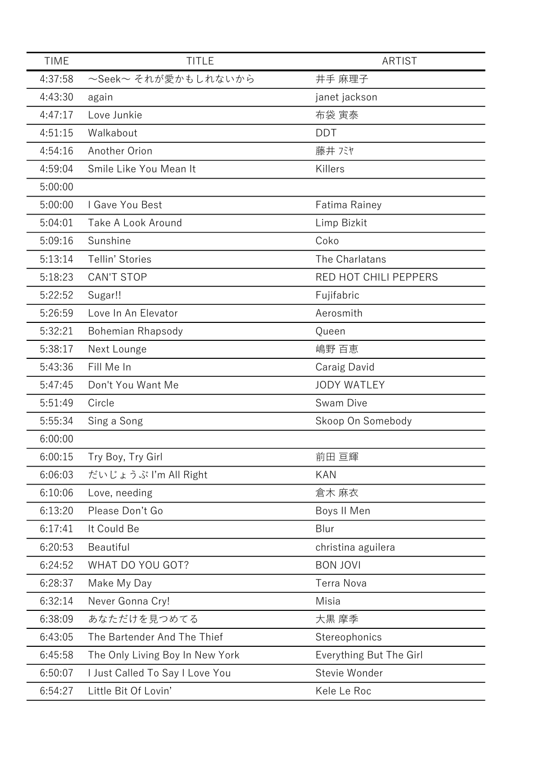| <b>TIME</b> | <b>TITLE</b>                    | <b>ARTIST</b>           |
|-------------|---------------------------------|-------------------------|
| 4:37:58     | ~Seek~ それが愛かもしれないから             | 井手 麻理子                  |
| 4:43:30     | again                           | janet jackson           |
| 4:47:17     | Love Junkie                     | 布袋 寅泰                   |
| 4:51:15     | Walkabout                       | <b>DDT</b>              |
| 4:54:16     | Another Orion                   | 藤井 バヤ                   |
| 4:59:04     | Smile Like You Mean It          | Killers                 |
| 5:00:00     |                                 |                         |
| 5:00:00     | I Gave You Best                 | Fatima Rainey           |
| 5:04:01     | Take A Look Around              | Limp Bizkit             |
| 5:09:16     | Sunshine                        | Coko                    |
| 5:13:14     | Tellin' Stories                 | The Charlatans          |
| 5:18:23     | <b>CAN'T STOP</b>               | RED HOT CHILI PEPPERS   |
| 5:22:52     | Sugar!!                         | Fujifabric              |
| 5:26:59     | Love In An Elevator             | Aerosmith               |
| 5:32:21     | Bohemian Rhapsody               | Queen                   |
| 5:38:17     | Next Lounge                     | 嶋野 百恵                   |
| 5:43:36     | Fill Me In                      | Caraig David            |
| 5:47:45     | Don't You Want Me               | <b>JODY WATLEY</b>      |
| 5:51:49     | Circle                          | Swam Dive               |
| 5:55:34     | Sing a Song                     | Skoop On Somebody       |
| 6:00:00     |                                 |                         |
| 6:00:15     | Try Boy, Try Girl               | 前田 亘輝                   |
| 6:06:03     | だいじょうぶ I'm All Right            | <b>KAN</b>              |
| 6:10:06     | Love, needing                   | 倉木 麻衣                   |
| 6:13:20     | Please Don't Go                 | Boys II Men             |
| 6:17:41     | It Could Be                     | Blur                    |
| 6:20:53     | Beautiful                       | christina aguilera      |
| 6:24:52     | WHAT DO YOU GOT?                | <b>BON JOVI</b>         |
| 6:28:37     | Make My Day                     | <b>Terra Nova</b>       |
| 6:32:14     | Never Gonna Cry!                | Misia                   |
| 6:38:09     | あなただけを見つめてる                     | 大黒 摩季                   |
| 6:43:05     | The Bartender And The Thief     | Stereophonics           |
| 6:45:58     | The Only Living Boy In New York | Everything But The Girl |
| 6:50:07     | I Just Called To Say I Love You | Stevie Wonder           |
| 6:54:27     | Little Bit Of Lovin'            | Kele Le Roc             |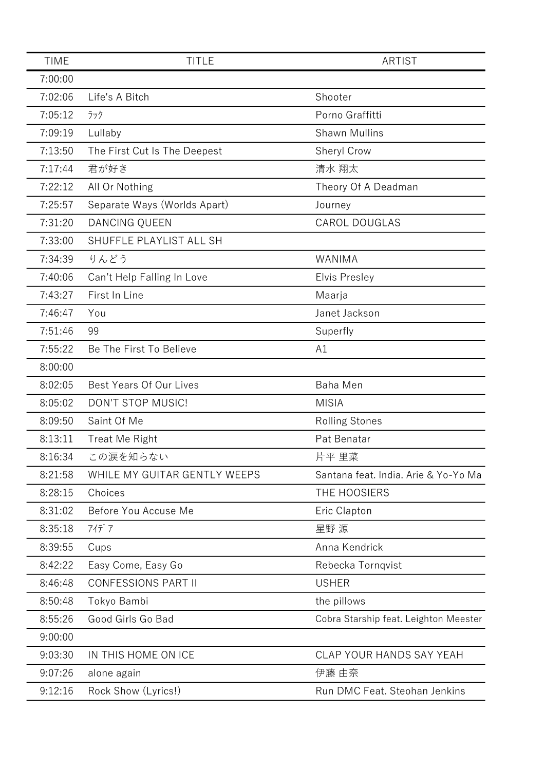| <b>TIME</b> | <b>TITLE</b>                 | <b>ARTIST</b>                         |
|-------------|------------------------------|---------------------------------------|
| 7:00:00     |                              |                                       |
| 7:02:06     | Life's A Bitch               | Shooter                               |
| 7:05:12     | ラック                          | Porno Graffitti                       |
| 7:09:19     | Lullaby                      | <b>Shawn Mullins</b>                  |
| 7:13:50     | The First Cut Is The Deepest | Sheryl Crow                           |
| 7:17:44     | 君が好き                         | 清水 翔太                                 |
| 7:22:12     | All Or Nothing               | Theory Of A Deadman                   |
| 7:25:57     | Separate Ways (Worlds Apart) | Journey                               |
| 7:31:20     | DANCING QUEEN                | <b>CAROL DOUGLAS</b>                  |
| 7:33:00     | SHUFFLE PLAYLIST ALL SH      |                                       |
| 7:34:39     | りんどう                         | WANIMA                                |
| 7:40:06     | Can't Help Falling In Love   | <b>Elvis Presley</b>                  |
| 7:43:27     | First In Line                | Maarja                                |
| 7:46:47     | You                          | Janet Jackson                         |
| 7:51:46     | 99                           | Superfly                              |
| 7:55:22     | Be The First To Believe      | A1                                    |
| 8:00:00     |                              |                                       |
| 8:02:05     | Best Years Of Our Lives      | <b>Baha Men</b>                       |
| 8:05:02     | DON'T STOP MUSIC!            | <b>MISIA</b>                          |
| 8:09:50     | Saint Of Me                  | <b>Rolling Stones</b>                 |
| 8:13:11     | <b>Treat Me Right</b>        | Pat Benatar                           |
| 8:16:34     | この涙を知らない                     | 片平 里菜                                 |
| 8:21:58     | WHILE MY GUITAR GENTLY WEEPS | Santana feat. India. Arie & Yo-Yo Ma  |
| 8:28:15     | Choices                      | THE HOOSIERS                          |
| 8:31:02     | Before You Accuse Me         | Eric Clapton                          |
| 8:35:18     | アイデア                         | 星野 源                                  |
| 8:39:55     | Cups                         | Anna Kendrick                         |
| 8:42:22     | Easy Come, Easy Go           | Rebecka Tornqvist                     |
| 8:46:48     | <b>CONFESSIONS PART II</b>   | <b>USHER</b>                          |
| 8:50:48     | Tokyo Bambi                  | the pillows                           |
| 8:55:26     | Good Girls Go Bad            | Cobra Starship feat. Leighton Meester |
| 9:00:00     |                              |                                       |
| 9:03:30     | IN THIS HOME ON ICE          | CLAP YOUR HANDS SAY YEAH              |
| 9:07:26     | alone again                  | 伊藤 由奈                                 |
| 9:12:16     | Rock Show (Lyrics!)          | Run DMC Feat. Steohan Jenkins         |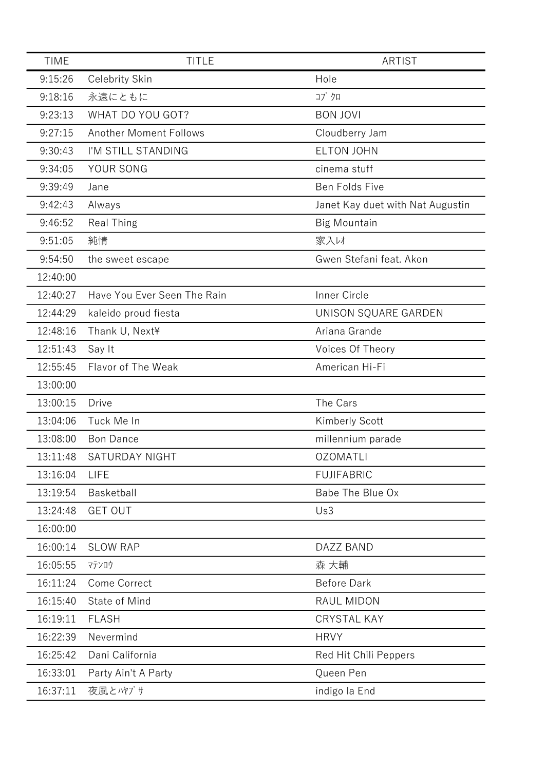| <b>TIME</b> | <b>TITLE</b>                  | <b>ARTIST</b>                    |
|-------------|-------------------------------|----------------------------------|
| 9:15:26     | Celebrity Skin                | Hole                             |
| 9:18:16     | 永遠にともに                        | コブクロ                             |
| 9:23:13     | WHAT DO YOU GOT?              | <b>BON JOVI</b>                  |
| 9:27:15     | <b>Another Moment Follows</b> | Cloudberry Jam                   |
| 9:30:43     | I'M STILL STANDING            | <b>ELTON JOHN</b>                |
| 9:34:05     | YOUR SONG                     | cinema stuff                     |
| 9:39:49     | Jane                          | Ben Folds Five                   |
| 9:42:43     | Always                        | Janet Kay duet with Nat Augustin |
| 9:46:52     | <b>Real Thing</b>             | <b>Big Mountain</b>              |
| 9:51:05     | 純情                            | 家入け                              |
| 9:54:50     | the sweet escape              | Gwen Stefani feat. Akon          |
| 12:40:00    |                               |                                  |
| 12:40:27    | Have You Ever Seen The Rain   | Inner Circle                     |
| 12:44:29    | kaleido proud fiesta          | UNISON SQUARE GARDEN             |
| 12:48:16    | Thank U, Next¥                | Ariana Grande                    |
| 12:51:43    | Say It                        | Voices Of Theory                 |
| 12:55:45    | Flavor of The Weak            | American Hi-Fi                   |
| 13:00:00    |                               |                                  |
| 13:00:15    | <b>Drive</b>                  | The Cars                         |
| 13:04:06    | Tuck Me In                    | Kimberly Scott                   |
| 13:08:00    | <b>Bon Dance</b>              | millennium parade                |
| 13:11:48    | <b>SATURDAY NIGHT</b>         | <b>OZOMATLI</b>                  |
| 13:16:04    | <b>LIFE</b>                   | <b>FUJIFABRIC</b>                |
| 13:19:54    | Basketball                    | Babe The Blue Ox                 |
| 13:24:48    | <b>GET OUT</b>                | Us3                              |
| 16:00:00    |                               |                                  |
| 16:00:14    | <b>SLOW RAP</b>               | DAZZ BAND                        |
| 16:05:55    | マテンロウ                         | 森 大輔                             |
| 16:11:24    | Come Correct                  | <b>Before Dark</b>               |
| 16:15:40    | State of Mind                 | RAUL MIDON                       |
| 16:19:11    | <b>FLASH</b>                  | <b>CRYSTAL KAY</b>               |
| 16:22:39    | Nevermind                     | <b>HRVY</b>                      |
| 16:25:42    | Dani California               | Red Hit Chili Peppers            |
| 16:33:01    | Party Ain't A Party           | Queen Pen                        |
| 16:37:11    | 夜風とハヤブサ                       | indigo la End                    |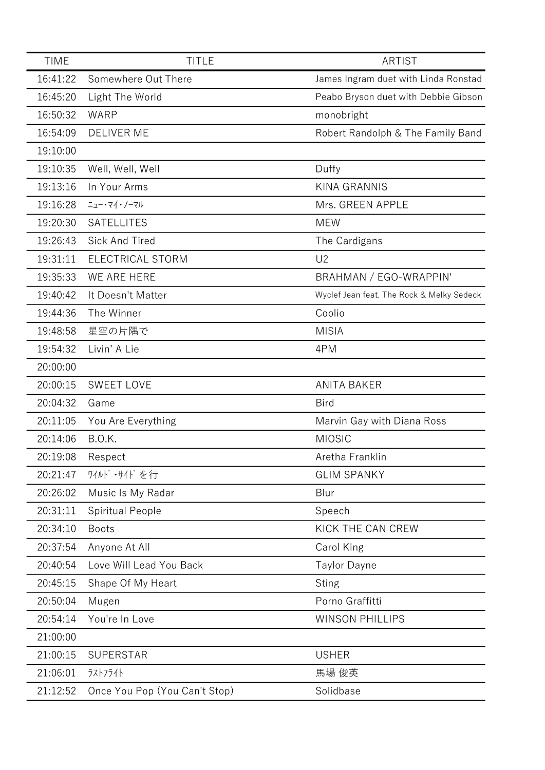| <b>TIME</b> | <b>TITLE</b>                  | ARTIST                                    |
|-------------|-------------------------------|-------------------------------------------|
| 16:41:22    | Somewhere Out There           | James Ingram duet with Linda Ronstad      |
| 16:45:20    | Light The World               | Peabo Bryson duet with Debbie Gibson      |
| 16:50:32    | <b>WARP</b>                   | monobright                                |
| 16:54:09    | <b>DELIVER ME</b>             | Robert Randolph & The Family Band         |
| 19:10:00    |                               |                                           |
| 19:10:35    | Well, Well, Well              | Duffy                                     |
| 19:13:16    | In Your Arms                  | <b>KINA GRANNIS</b>                       |
| 19:16:28    | ニュー・マイ・ノーマル                   | Mrs. GREEN APPLE                          |
| 19:20:30    | <b>SATELLITES</b>             | <b>MEW</b>                                |
| 19:26:43    | Sick And Tired                | The Cardigans                             |
| 19:31:11    | ELECTRICAL STORM              | U <sub>2</sub>                            |
| 19:35:33    | WE ARE HERE                   | BRAHMAN / EGO-WRAPPIN'                    |
| 19:40:42    | It Doesn't Matter             | Wyclef Jean feat. The Rock & Melky Sedeck |
| 19:44:36    | The Winner                    | Coolio                                    |
| 19:48:58    | 星空の片隅で                        | <b>MISIA</b>                              |
| 19:54:32    | Livin' A Lie                  | 4PM                                       |
| 20:00:00    |                               |                                           |
| 20:00:15    | <b>SWEET LOVE</b>             | <b>ANITA BAKER</b>                        |
| 20:04:32    | Game                          | Bird                                      |
| 20:11:05    | You Are Everything            | Marvin Gay with Diana Ross                |
| 20:14:06    | <b>B.O.K.</b>                 | <b>MIOSIC</b>                             |
| 20:19:08    | Respect                       | Aretha Franklin                           |
| 20:21:47    | ワイルド・サイドを行                    | <b>GLIM SPANKY</b>                        |
| 20:26:02    | Music Is My Radar             | Blur                                      |
| 20:31:11    | <b>Spiritual People</b>       | Speech                                    |
| 20:34:10    | <b>Boots</b>                  | KICK THE CAN CREW                         |
| 20:37:54    | Anyone At All                 | Carol King                                |
| 20:40:54    | Love Will Lead You Back       | <b>Taylor Dayne</b>                       |
| 20:45:15    | Shape Of My Heart             | <b>Sting</b>                              |
| 20:50:04    | Mugen                         | Porno Graffitti                           |
| 20:54:14    | You're In Love                | <b>WINSON PHILLIPS</b>                    |
| 21:00:00    |                               |                                           |
| 21:00:15    | <b>SUPERSTAR</b>              | <b>USHER</b>                              |
| 21:06:01    | ラストフライト                       | 馬場 俊英                                     |
| 21:12:52    | Once You Pop (You Can't Stop) | Solidbase                                 |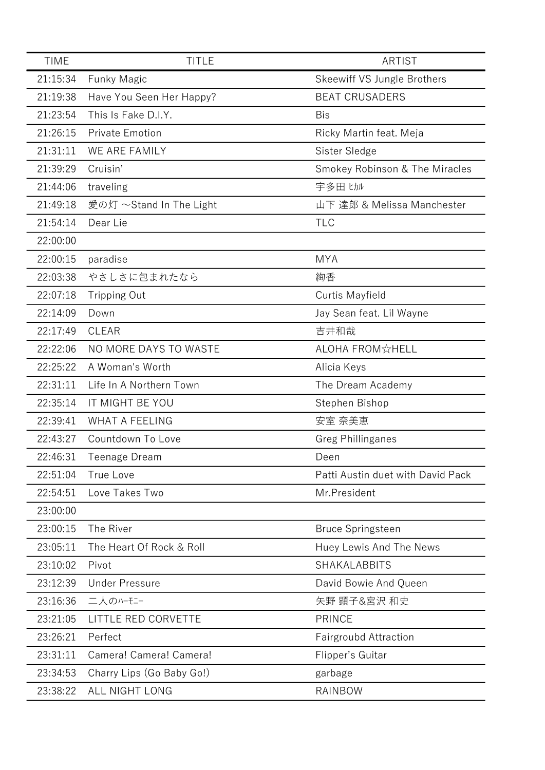| <b>TIME</b> | <b>TITLE</b>              | <b>ARTIST</b>                     |
|-------------|---------------------------|-----------------------------------|
| 21:15:34    | <b>Funky Magic</b>        | Skeewiff VS Jungle Brothers       |
| 21:19:38    | Have You Seen Her Happy?  | <b>BEAT CRUSADERS</b>             |
| 21:23:54    | This Is Fake D.I.Y.       | <b>Bis</b>                        |
| 21:26:15    | <b>Private Emotion</b>    | Ricky Martin feat. Meja           |
| 21:31:11    | WE ARE FAMILY             | Sister Sledge                     |
| 21:39:29    | Cruisin'                  | Smokey Robinson & The Miracles    |
| 21:44:06    | traveling                 | 宇多田 ヒカル                           |
| 21:49:18    | 愛の灯 ~Stand In The Light   | 山下 達郎 & Melissa Manchester        |
| 21:54:14    | Dear Lie                  | <b>TLC</b>                        |
| 22:00:00    |                           |                                   |
| 22:00:15    | paradise                  | <b>MYA</b>                        |
| 22:03:38    | やさしさに包まれたなら               | 絢香                                |
| 22:07:18    | <b>Tripping Out</b>       | <b>Curtis Mayfield</b>            |
| 22:14:09    | Down                      | Jay Sean feat. Lil Wayne          |
| 22:17:49    | <b>CLEAR</b>              | 吉井和哉                              |
| 22:22:06    | NO MORE DAYS TO WASTE     | ALOHA FROM☆HELL                   |
| 22:25:22    | A Woman's Worth           | Alicia Keys                       |
| 22:31:11    | Life In A Northern Town   | The Dream Academy                 |
| 22:35:14    | IT MIGHT BE YOU           | Stephen Bishop                    |
| 22:39:41    | <b>WHAT A FEELING</b>     | 安室 奈美恵                            |
| 22:43:27    | Countdown To Love         | <b>Greg Phillinganes</b>          |
| 22:46:31    | Teenage Dream             | Deen                              |
| 22:51:04    | True Love                 | Patti Austin duet with David Pack |
| 22:54:51    | Love Takes Two            | Mr.President                      |
| 23:00:00    |                           |                                   |
| 23:00:15    | The River                 | <b>Bruce Springsteen</b>          |
| 23:05:11    | The Heart Of Rock & Roll  | Huey Lewis And The News           |
| 23:10:02    | Pivot                     | SHAKALABBITS                      |
| 23:12:39    | <b>Under Pressure</b>     | David Bowie And Queen             |
| 23:16:36    | 二人のハーモニー                  | 矢野 顕子&宮沢 和史                       |
| 23:21:05    | LITTLE RED CORVETTE       | <b>PRINCE</b>                     |
| 23:26:21    | Perfect                   | Fairgroubd Attraction             |
| 23:31:11    | Camera! Camera! Camera!   | Flipper's Guitar                  |
| 23:34:53    | Charry Lips (Go Baby Go!) | garbage                           |
| 23:38:22    | ALL NIGHT LONG            | RAINBOW                           |